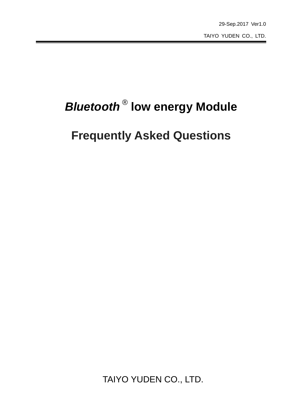# *Bluetooth* ® **low energy Module**

## **Frequently Asked Questions**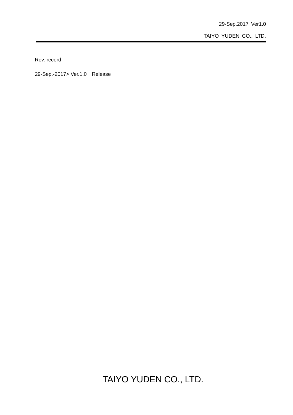29-Sep.2017 Ver1.0

TAIYO YUDEN CO., LTD.

Rev. record

29-Sep.-2017> Ver.1.0 Release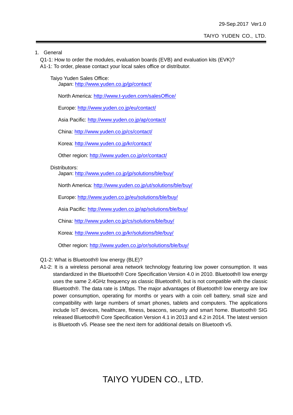1. General

Q1-1: How to order the modules, evaluation boards (EVB) and evaluation kits (EVK)? A1-1: To order, please contact your local sales office or distributor.

Taiyo Yuden Sales Office: Japan: http://www.yuden.co.jp/jp/contact/

North America: http://www.t-yuden.com/salesOffice/

Europe: http://www.yuden.co.jp/eu/contact/

Asia Pacific: http://www.yuden.co.jp/ap/contact/

China: http://www.yuden.co.jp/cs/contact/

Korea: http://www.yuden.co.jp/kr/contact/

Other region: http://www.yuden.co.jp/or/contact/

Distributors:

Japan: http://www.yuden.co.jp/jp/solutions/ble/buy/

North America: http://www.yuden.co.jp/ut/solutions/ble/buy/

Europe: http://www.yuden.co.jp/eu/solutions/ble/buy/

Asia Pacific: http://www.yuden.co.jp/ap/solutions/ble/buy/

China: http://www.yuden.co.jp/cs/solutions/ble/buy/

Korea: http://www.yuden.co.jp/kr/solutions/ble/buy/

Other region: http://www.yuden.co.jp/or/solutions/ble/buy/

Q1-2: What is Bluetooth® low energy (BLE)?

 A1-2: It is a wireless personal area network technology featuring low power consumption. It was standardized in the Bluetooth® Core Specification Version 4.0 in 2010. Bluetooth® low energy uses the same 2.4GHz frequency as classic Bluetooth®, but is not compatible with the classic Bluetooth®. The data rate is 1Mbps. The major advantages of Bluetooth® low energy are low power consumption, operating for months or years with a coin cell battery, small size and compatibility with large numbers of smart phones, tablets and computers. The applications include IoT devices, healthcare, fitness, beacons, security and smart home. Bluetooth® SIG released Bluetooth® Core Specification Version 4.1 in 2013 and 4.2 in 2014. The latest version is Bluetooth v5. Please see the next item for additional details on Bluetooth v5.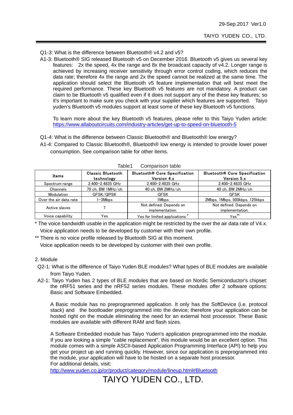Q1-3: What is the difference between Bluetooth® v4.2 and v5?

 A1-3: Bluetooth® SIG released Bluetooth v5 on December 2016. Bluetooth v5 gives us several key features: 2x the speed, 4x the range and 8x the broadcast capacity of v4.2. Longer range is achieved by increasing receiver sensitivity through error control coding, which reduces the data rate; therefore 4x the range and 2x the speed cannot be realized at the same time. The application should select the Bluetooth v5 feature implementation that will best meet the required performance. These key Bluetooth v5 features are not mandatory. A product can claim to be Bluetooth v5 qualified even if it does not support any of the these key features; so it's important to make sure you check with your supplier which features are supported. Taiyo yuden's Bluetooth v5 modules support at least some of these key Bluetooth v5 functions.

To learn more about the key Bluetooth v5 features, please refer to this Taiyo Yuden article: https://www.allaboutcircuits.com/industry-articles/get-up-to-speed-on-bluetooth-5

- Q1-4: What is the difference between Classic Bluetooth® and Bluetooth® low energy?
- A1-4: Compared to Classic Bluetooth®, Bluetooth® low energy is intended to provide lower power consumption. See comparison table for other items.

| Items                  | <b>Classic Bluetooth</b><br>technology | Bluetooth <sup>®</sup> Core Specification<br>Version 4.x | Bluetooth® Core Specification<br>Version 5.x |
|------------------------|----------------------------------------|----------------------------------------------------------|----------------------------------------------|
| Spectrum range         | 2.400-2.4835 GHz                       | 2.400-2.4835 GHz                                         | 2.400-2.4835 GHz                             |
| Channels               | 79 ch, BW 1MHz/ch                      | 40 ch, BW 2MHz/ch                                        | 40 ch, BW 2MHz/ch                            |
| Modulation             | GFSK/QPSK                              | <b>GFSK</b>                                              | <b>GFSK</b>                                  |
| Over the air data rate | 1-3Mbps                                | 1Mbps                                                    | 2Mbps, 1Mbps, 500kbps, 125kbps               |
| Active slaves          |                                        | Not defined. Depends on<br>implementation.               | Not defined. Depends on<br>implementation.   |
| Voice capability       | Yes                                    | Yes for limited applications                             | $Yes**$                                      |

Table1 Comparison table

\* The voice bandwidth usable in the application might be restricted by the over the air data rate of V4.x. Voice application needs to be developed by customer with their own profile.

\*\* There is no voice profile released by Bluetooth SIG at this moment.

Voice application needs to be developed by customer with their own profile.

#### 2. Module

- Q2-1: What is the difference of Taiyo Yuden BLE modules? What types of BLE modules are available from Taiyo Yuden.
- A2-1: Taiyo Yuden has 2 types of BLE modules that are based on Nordic Semiconductor's chipset: the nRF51 series and the nRF52 series modules. These modules offer 2 software options: Basic and Software Embedded.

A Basic module has no preprogrammed application. It only has the SoftDevice (i.e. protocol stack) and the bootloader preprogrammed into the device; therefore your application can be hosted right on the module eliminating the need for an external host processor. These Basic modules are available with different RAM and flash sizes.

A Software Embedded module has Taiyo Yuden's application preprogrammed into the module. If you are looking a simple "cable replacement", this module would be an excellent option. This module comes with a simple ASCII-based Application Programming Interface (API) to help you get your project up and running quickly. However, since our application is preprogrammed into the module, your application will have to be hosted on a separate host processor. For additional details, visit:

http://www.yuden.co.jp/or/product/category/module/lineup.html#Bluetooth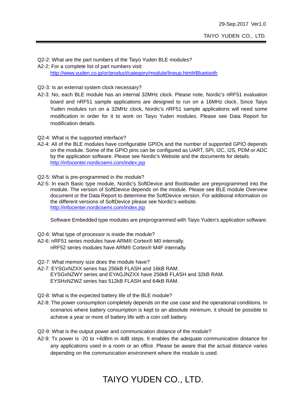Q2-2: What are the part numbers of the Taiyo Yuden BLE modules? A2-2: For a complete list of part numbers visit: http://www.yuden.co.jp/or/product/category/module/lineup.html#Bluetooth

#### Q2-3: Is an external system clock necessary?

- A2-3: No, each BLE module has an internal 32MHz clock. Please note, Nordic's nRF51 evaluation board and nRF51 sample applications are designed to run on a 16MHz clock. Since Taiyo Yuden modules run on a 32MHz clock, Nordic's nRF51 sample applications will need some modification in order for it to work on Taiyo Yuden modules. Please see Data Report for modification details.
- Q2-4: What is the supported interface?
- A2-4: All of the BLE modules have configurable GPIOs and the number of supported GPIO depends on the module. Some of the GPIO pins can be configured as UART, SPI, I2C, I2S, PDM or ADC by the application software. Please see Nordic's Website and the documents for details. http://infocenter.nordicsemi.com/index.jsp
- Q2-5: What is pre-programmed in the module?
- A2-5: In each Basic type module, Nordic's SoftDevice and Bootloader are preprogrammed into the module. The version of SoftDevice depends on the module. Please see BLE module Overview document or the Data Report to determine the SoftDevice version. For additional information on the different versions of SoftDevice please see Nordic's website. http://infocenter.nordicsemi.com/index.jsp

Software Embedded type modules are preprogrammed with Taiyo Yuden's application software.

- Q2-6: What type of processor is inside the module?
- A2-6: nRF51 series modules have ARM® Cortex® M0 internally. nRF52 series modules have ARM® Cortex® M4F internally.
- Q2-7: What memory size does the module have?
- A2-7: EYSGxNZXX series has 256kB FLASH and 16kB RAM. EYSGxNZWY series and EYAGJNZXX have 256kB FLASH and 32kB RAM. EYSHxNZWZ series has 512kB FLASH and 64kB RAM.
- Q2-8: What is the expected battery life of the BLE module?
- A2-8: The power consumption completely depends on the use case and the operational conditions. In scenarios where battery consumption is kept to an absolute minimum, it should be possible to achieve a year or more of battery life with a coin cell battery.
- Q2-9: What is the output power and communication distance of the module?
- A2-9: Tx power is -20 to +4dBm in 4dB steps. It enables the adequate communication distance for any applications used in a room or an office. Please be aware that the actual distance varies depending on the communication environment where the module is used.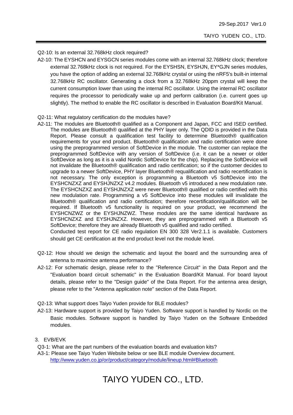#### Q2-10: Is an external 32.768kHz clock required?

 A2-10: The EYSHCN and EYSGCN series modules come with an internal 32.768kHz clock; therefore external 32.768kHz clock is not required. For the EYSHSN, EYSHJN, EY\*GJN series modules, you have the option of adding an external 32.768kHz crystal or using the nRF5's built-in internal 32.768kHz RC oscillator. Generating a clock from a 32.768kHz 20ppm crystal will keep the current consumption lower than using the internal RC oscillator. Using the internal RC oscillator requires the processor to periodically wake up and perform calibration (i.e. current goes up slightly). The method to enable the RC oscillator is described in Evaluation Board/Kit Manual.

#### Q2-11: What regulatory certification do the modules have?

 A2-11: The modules are Bluetooth® qualified as a Component and Japan, FCC and ISED certified. The modules are Bluetooth® qualified at the PHY layer only. The QDID is provided in the Data Report. Please consult a qualification test facility to determine Bluetooth® qualification requirements for your end product. Bluetooth® qualification and radio certification were done using the preprogrammed version of SoftDevice in the module. The customer can replace the preprogrammed SoftDevice with any version of SoftDevice (i.e. it can be a newer or older SoftDevice as long as it is a valid Nordic SoftDevice for the chip). Replacing the SoftDevice will not invalidate the Bluetooth® qualification and radio certification; so if the customer decides to upgrade to a newer SoftDevice, PHY layer Bluetooth® requalification and radio recertification is not necessary. The only exception is programming a Bluetooth v5 SoftDevice into the EYSHCNZXZ and EYSHJNZXZ v4.2 modules. Bluetooth v5 introduced a new modulation rate. The EYSHCNZXZ and EYSHJNZXZ were never Bluetooth® qualified or radio certified with this new modulation rate. Programming a v5 SoftDevice into these modules will invalidate the Bluetooth® qualification and radio certification; therefore recertification/qualification will be required. If Bluetooth v5 functionality is required on your product, we recommend the EYSHCNZWZ or the EYSHJNZWZ. These modules are the same identical hardware as EYSHCNZXZ and EYSHJNZXZ. However, they are preprogrammed with a Bluetooth v5 SoftDevice; therefore they are already Bluetooth v5 qualified and radio certified.

Conducted test report for CE radio regulation EN 300 328 Ver2.1.1 is available. Customers should get CE certification at the end product level not the module level.

- Q2-12: How should we design the schematic and layout the board and the surrounding area of antenna to maximize antenna performance?
- A2-12: For schematic design, please refer to the "Reference Circuit" in the Data Report and the "Evaluation board circuit schematic" in the Evaluation Board/Kit Manual. For board layout details, please refer to the "Design guide" of the Data Report. For the antenna area design, please refer to the "Antenna application note" section of the Data Report.

Q2-13: What support does Taiyo Yuden provide for BLE modules?

 A2-13: Hardware support is provided by Taiyo Yuden. Software support is handled by Nordic on the Basic modules. Software support is handled by Taiyo Yuden on the Software Embedded modules.

#### 3. EVB/EVK

- Q3-1: What are the part numbers of the evaluation boards and evaluation kits?
- A3-1: Please see Taiyo Yuden Website below or see BLE module Overview document. http://www.yuden.co.jp/or/product/category/module/lineup.html#Bluetooth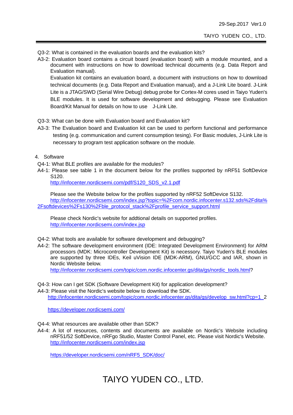- Q3-2: What is contained in the evaluation boards and the evaluation kits?
- A3-2: Evaluation board contains a circuit board (evaluation board) with a module mounted, and a document with instructions on how to download technical documents (e.g. Data Report and Evaluation manual).

Evaluation kit contains an evaluation board, a document with instructions on how to download technical documents (e.g. Data Report and Evaluation manual), and a J-Link Lite board. J-Link Lite is a JTAG/SWD (Serial Wire Debug) debug probe for Cortex-M cores used in Taiyo Yuden's BLE modules. It is used for software development and debugging. Please see Evaluation Board/Kit Manual for details on how to use J-Link Lite.

- Q3-3: What can be done with Evaluation board and Evaluation kit?
- A3-3: The Evaluation board and Evaluation kit can be used to perform functional and performance testing (e.g. communication and current consumption tesing). For Basic modules, J-Link Lite is necessary to program test application software on the module.
- 4. Software
- Q4-1: What BLE profiles are available for the modules?
- A4-1: Please see table 1 in the document below for the profiles supported by nRF51 SoftDevice S120.

http://infocenter.nordicsemi.com/pdf/S120\_SDS\_v2.1.pdf

Please see the Website below for the profiles supported by nRF52 SoftDevice S132. http://infocenter.nordicsemi.com/index.jsp?topic=%2Fcom.nordic.infocenter.s132.sds%2Fdita% 2Fsoftdevices%2Fs130%2Fble\_protocol\_stack%2Fprofile\_service\_support.html

Please check Nordic's website for addtional details on supported profiles. http://infocenter.nordicsemi.com/index.jsp

- Q4-2: What tools are available for software development and debugging?
- A4-2: The software development environment (IDE: Integrated Development Environment) for ARM processors (MDK: Microcontroller Development Kit) is necessory. Taiyo Yuden's BLE modules are supported by three IDEs, Keil uVision IDE (MDK-ARM), GNU/GCC and IAR, shown in Nordic Website below.

http://infocenter.nordicsemi.com/topic/com.nordic.infocenter.gs/dita/gs/nordic\_tools.html?

- Q4-3: How can I get SDK (Software Development Kit) for application development?
- A4-3: Please visit the Nordic's website below to download the SDK.

http://infocenter.nordicsemi.com/topic/com.nordic.infocenter.gs/dita/gs/develop\_sw.html?cp=1\_2

https://developer.nordicsemi.com/

Q4-4: What resources are available other than SDK?

 A4-4: A lot of resources, contents and documents are available on Nordic's Website including nRF51/52 SoftDevice, nRFgo Studio, Master Control Panel, etc. Please visit Nordic's Website. http://infocenter.nordicsemi.com/index.jsp

https://developer.nordicsemi.com/nRF5\_SDK/doc/